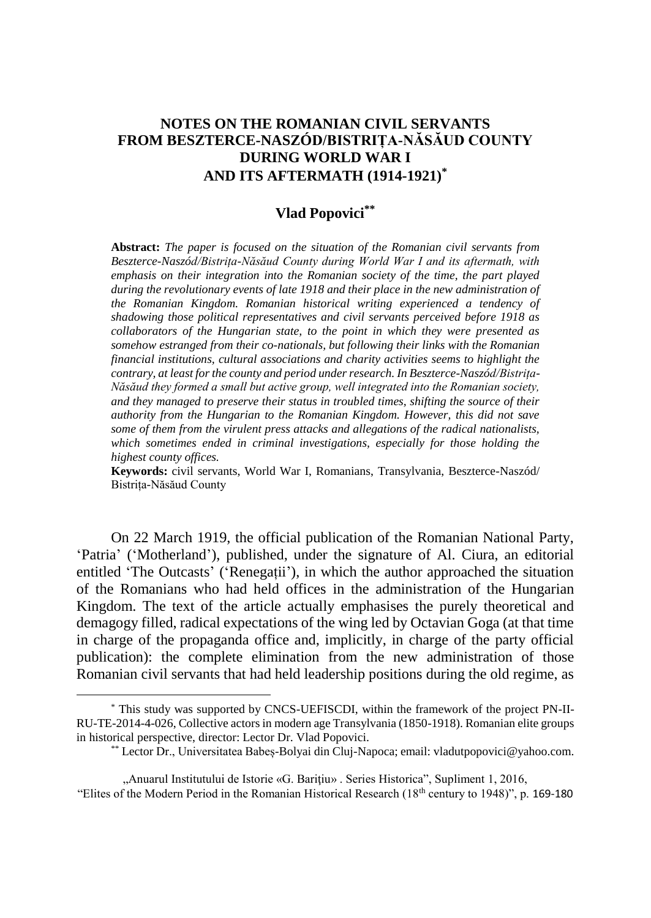## **NOTES ON THE ROMANIAN CIVIL SERVANTS FROM BESZTERCE-NASZÓD/BISTRIȚA-NĂSĂUD COUNTY DURING WORLD WAR I AND ITS AFTERMATH (1914-1921)\***

## **Vlad Popovici\*\***

**Abstract:** *The paper is focused on the situation of the Romanian civil servants from Beszterce-Naszód/Bistrița-Năsăud County during World War I and its aftermath, with emphasis on their integration into the Romanian society of the time, the part played during the revolutionary events of late 1918 and their place in the new administration of the Romanian Kingdom. Romanian historical writing experienced a tendency of shadowing those political representatives and civil servants perceived before 1918 as collaborators of the Hungarian state, to the point in which they were presented as somehow estranged from their co-nationals, but following their links with the Romanian financial institutions, cultural associations and charity activities seems to highlight the contrary, at least for the county and period under research. In Beszterce-Naszód/Bistrița-Năsăud they formed a small but active group, well integrated into the Romanian society, and they managed to preserve their status in troubled times, shifting the source of their authority from the Hungarian to the Romanian Kingdom. However, this did not save some of them from the virulent press attacks and allegations of the radical nationalists, which sometimes ended in criminal investigations, especially for those holding the highest county offices.*

**Keywords:** civil servants, World War I, Romanians, Transylvania, Beszterce-Naszód/ Bistrița-Năsăud County

On 22 March 1919, the official publication of the Romanian National Party, 'Patria' ('Motherland'), published, under the signature of Al. Ciura, an editorial entitled 'The Outcasts' ('Renegații'), in which the author approached the situation of the Romanians who had held offices in the administration of the Hungarian Kingdom. The text of the article actually emphasises the purely theoretical and demagogy filled, radical expectations of the wing led by Octavian Goga (at that time in charge of the propaganda office and, implicitly, in charge of the party official publication): the complete elimination from the new administration of those Romanian civil servants that had held leadership positions during the old regime, as

<sup>\*</sup> This study was supported by CNCS-UEFISCDI, within the framework of the project PN-II-RU-TE-2014-4-026, Collective actors in modern age Transylvania (1850-1918). Romanian elite groups in historical perspective, director: Lector Dr. Vlad Popovici.

<sup>\*\*</sup> Lector Dr., Universitatea Babeș-Bolyai din Cluj-Napoca; email: vladutpopovici@yahoo.com.

<sup>&</sup>quot;Anuarul Institutului de Istorie «G. Bariţiu» . Series Historica", Supliment 1, 2016, "Elites of the Modern Period in the Romanian Historical Research (18th century to 1948)", p. 169-180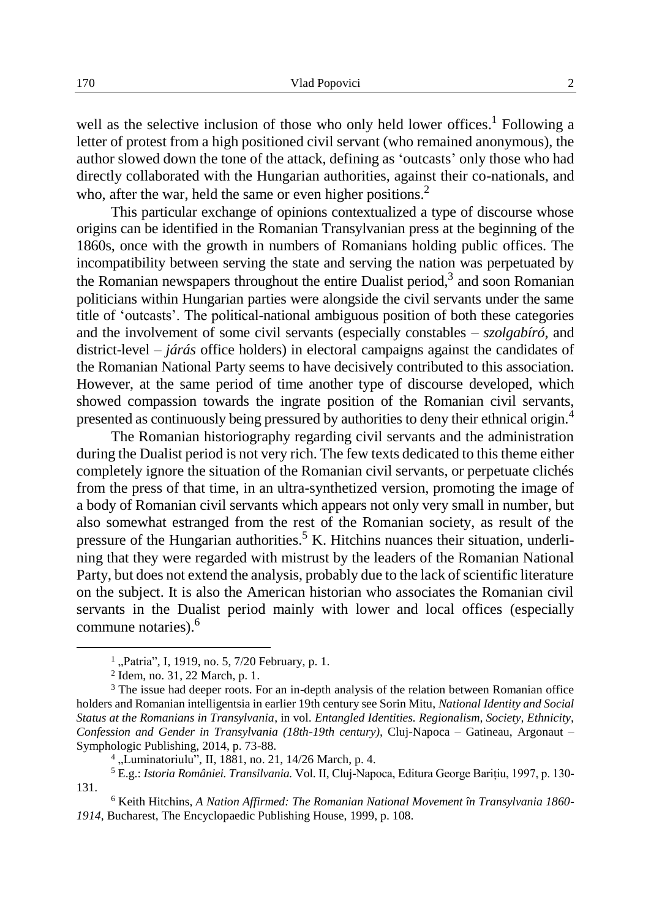well as the selective inclusion of those who only held lower offices.<sup>1</sup> Following a letter of protest from a high positioned civil servant (who remained anonymous), the author slowed down the tone of the attack, defining as 'outcasts' only those who had directly collaborated with the Hungarian authorities, against their co-nationals, and who, after the war, held the same or even higher positions. $2^2$ 

This particular exchange of opinions contextualized a type of discourse whose origins can be identified in the Romanian Transylvanian press at the beginning of the 1860s, once with the growth in numbers of Romanians holding public offices. The incompatibility between serving the state and serving the nation was perpetuated by the Romanian newspapers throughout the entire Dualist period, $3$  and soon Romanian politicians within Hungarian parties were alongside the civil servants under the same title of 'outcasts'. The political-national ambiguous position of both these categories and the involvement of some civil servants (especially constables – *szolgabíró*, and district-level – *járás* office holders) in electoral campaigns against the candidates of the Romanian National Party seems to have decisively contributed to this association. However, at the same period of time another type of discourse developed, which showed compassion towards the ingrate position of the Romanian civil servants, presented as continuously being pressured by authorities to deny their ethnical origin.<sup>4</sup>

The Romanian historiography regarding civil servants and the administration during the Dualist period is not very rich. The few texts dedicated to this theme either completely ignore the situation of the Romanian civil servants, or perpetuate clichés from the press of that time, in an ultra-synthetized version, promoting the image of a body of Romanian civil servants which appears not only very small in number, but also somewhat estranged from the rest of the Romanian society, as result of the pressure of the Hungarian authorities.<sup>5</sup> K. Hitchins nuances their situation, underlining that they were regarded with mistrust by the leaders of the Romanian National Party, but does not extend the analysis, probably due to the lack of scientific literature on the subject. It is also the American historian who associates the Romanian civil servants in the Dualist period mainly with lower and local offices (especially commune notaries). 6

<sup>&</sup>lt;sup>1</sup>, Patria", I, 1919, no. 5, 7/20 February, p. 1.

<sup>2</sup> Idem, no. 31, 22 March, p. 1.

<sup>&</sup>lt;sup>3</sup> The issue had deeper roots. For an in-depth analysis of the relation between Romanian office holders and Romanian intelligentsia in earlier 19th century see Sorin Mitu, *National Identity and Social Status at the Romanians in Transylvania*, in vol. *Entangled Identities. Regionalism, Society, Ethnicity, Confession and Gender in Transylvania (18th-19th century),* Cluj-Napoca – Gatineau, Argonaut – Symphologic Publishing, 2014, p. 73-88.

<sup>4</sup> "Luminatoriulu"*,* II, 1881, no. 21, 14/26 March, p. 4.

<sup>5</sup> E.g.: *Istoria României. Transilvania.* Vol. II, Cluj-Napoca, Editura George Barițiu, 1997, p. 130- 131.

<sup>6</sup> Keith Hitchins, *A Nation Affirmed: The Romanian National Movement în Transylvania 1860- 1914,* Bucharest, The Encyclopaedic Publishing House, 1999, p. 108.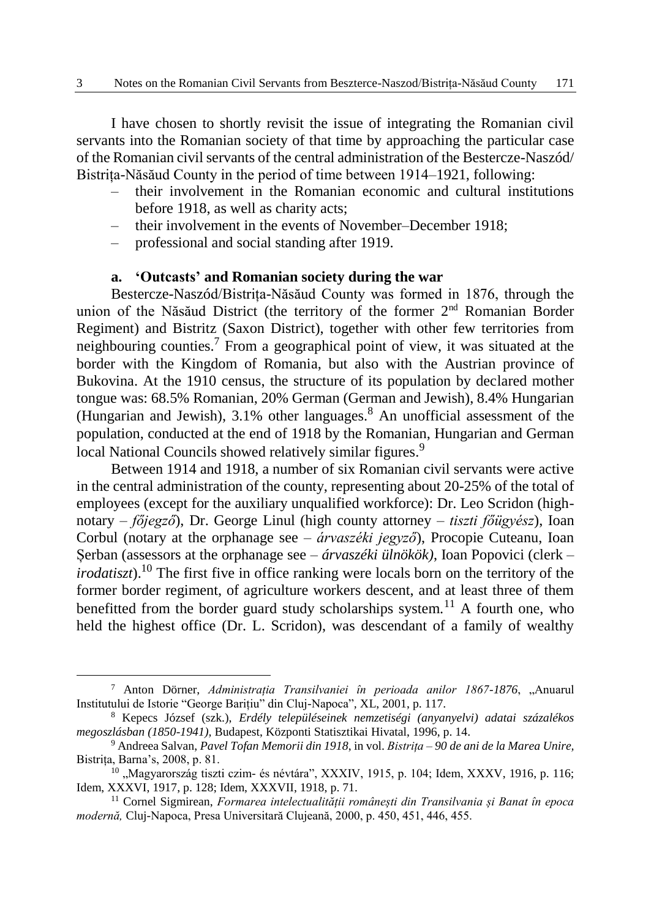I have chosen to shortly revisit the issue of integrating the Romanian civil servants into the Romanian society of that time by approaching the particular case of the Romanian civil servants of the central administration of the Bestercze-Naszód/ Bistrița-Năsăud County in the period of time between 1914–1921, following:

- their involvement in the Romanian economic and cultural institutions before 1918, as well as charity acts;
- their involvement in the events of November–December 1918;
- professional and social standing after 1919.

# **a. 'Outcasts' and Romanian society during the war**

Bestercze-Naszód/Bistrița-Năsăud County was formed in 1876, through the union of the Năsăud District (the territory of the former 2<sup>nd</sup> Romanian Border Regiment) and Bistritz (Saxon District), together with other few territories from neighbouring counties.<sup>7</sup> From a geographical point of view, it was situated at the border with the Kingdom of Romania, but also with the Austrian province of Bukovina. At the 1910 census, the structure of its population by declared mother tongue was: 68.5% Romanian, 20% German (German and Jewish), 8.4% Hungarian (Hungarian and Jewish),  $3.1\%$  other languages.<sup>8</sup> An unofficial assessment of the population, conducted at the end of 1918 by the Romanian, Hungarian and German local National Councils showed relatively similar figures.<sup>9</sup>

Between 1914 and 1918, a number of six Romanian civil servants were active in the central administration of the county, representing about 20-25% of the total of employees (except for the auxiliary unqualified workforce): Dr. Leo Scridon (highnotary – *főjegző*), Dr. George Linul (high county attorney – *tiszti főügyész*), Ioan Corbul (notary at the orphanage see – *árvaszéki jegyző*), Procopie Cuteanu, Ioan Șerban (assessors at the orphanage see – *árvaszéki ülnökök)*, Ioan Popovici (clerk – *irodatiszt*). <sup>10</sup> The first five in office ranking were locals born on the territory of the former border regiment, of agriculture workers descent, and at least three of them benefitted from the border guard study scholarships system.<sup>11</sup> A fourth one, who held the highest office (Dr. L. Scridon), was descendant of a family of wealthy

<sup>&</sup>lt;sup>7</sup> Anton Dörner, *Administratia Transilvaniei în perioada anilor 1867-1876*, "Anuarul Institutului de Istorie "George Barițiu" din Cluj-Napoca"*,* XL, 2001, p. 117.

<sup>8</sup> Kepecs József (szk.), *Erdély településeinek nemzetiségi (anyanyelvi) adatai százalékos megoszlásban (1850-1941),* Budapest, Központi Statisztikai Hivatal, 1996, p. 14.

<sup>9</sup> Andreea Salvan, *Pavel Tofan Memorii din 1918*, in vol. *Bistrița – 90 de ani de la Marea Unire,*  Bistrița, Barna's, 2008, p. 81.

 $10$  , Magyarország tiszti czim- és névtára", XXXIV, 1915, p. 104; Idem, XXXV, 1916, p. 116; Idem, XXXVI, 1917, p. 128; Idem, XXXVII, 1918, p. 71.

<sup>11</sup> Cornel Sigmirean, *Formarea intelectualității românești din Transilvania și Banat în epoca modernă,* Cluj-Napoca, Presa Universitară Clujeană, 2000, p. 450, 451, 446, 455.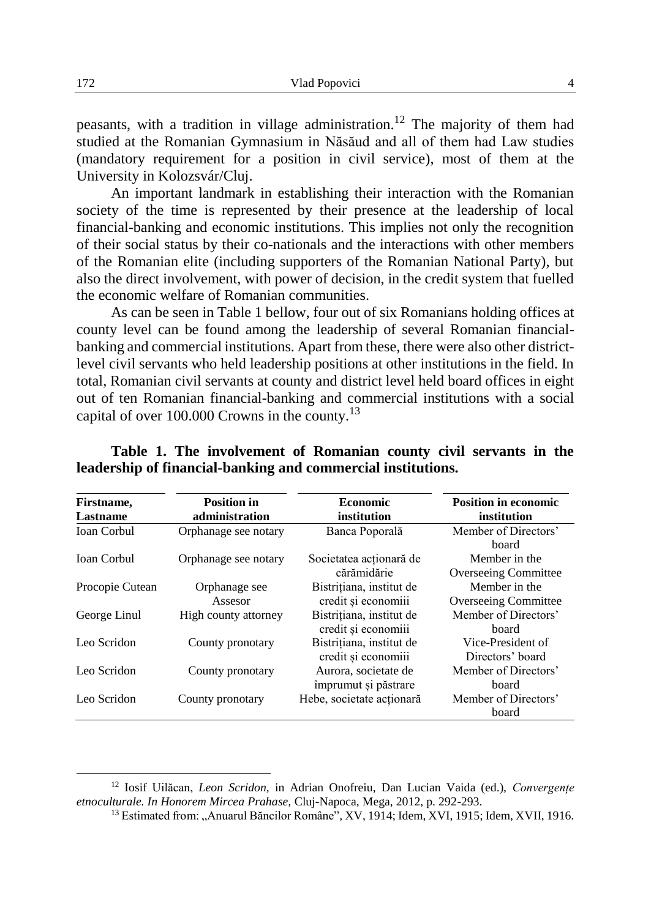peasants, with a tradition in village administration.<sup>12</sup> The majority of them had studied at the Romanian Gymnasium in Năsăud and all of them had Law studies (mandatory requirement for a position in civil service), most of them at the University in Kolozsvár/Cluj.

An important landmark in establishing their interaction with the Romanian society of the time is represented by their presence at the leadership of local financial-banking and economic institutions. This implies not only the recognition of their social status by their co-nationals and the interactions with other members of the Romanian elite (including supporters of the Romanian National Party), but also the direct involvement, with power of decision, in the credit system that fuelled the economic welfare of Romanian communities.

As can be seen in Table 1 bellow, four out of six Romanians holding offices at county level can be found among the leadership of several Romanian financialbanking and commercial institutions. Apart from these, there were also other districtlevel civil servants who held leadership positions at other institutions in the field. In total, Romanian civil servants at county and district level held board offices in eight out of ten Romanian financial-banking and commercial institutions with a social capital of over 100.000 Crowns in the county.<sup>13</sup>

| Firstname.<br>Lastname | <b>Position in</b><br>administration | <b>Economic</b><br>institution                  | <b>Position in economic</b><br>institution |
|------------------------|--------------------------------------|-------------------------------------------------|--------------------------------------------|
| <b>Ioan Corbul</b>     | Orphanage see notary                 | Banca Poporală                                  | Member of Directors'<br>board              |
| <b>Ioan Corbul</b>     | Orphanage see notary                 | Societatea acționară de<br>cărămidărie          | Member in the<br>Overseeing Committee      |
| Procopie Cutean        | Orphanage see<br>Assesor             | Bistrițiana, institut de<br>credit și economiii | Member in the<br>Overseeing Committee      |
| George Linul           | High county attorney                 | Bistrițiana, institut de<br>credit și economiii | Member of Directors'<br>board              |
| Leo Scridon            | County pronotary                     | Bistritiana, institut de<br>credit și economiii | Vice-President of<br>Directors' board      |
| Leo Scridon            | County pronotary                     | Aurora, societate de<br>împrumut și păstrare    | Member of Directors'<br>board              |
| Leo Scridon            | County pronotary                     | Hebe, societate actionară                       | Member of Directors'<br>board              |

## **Table 1. The involvement of Romanian county civil servants in the leadership of financial-banking and commercial institutions.**

<sup>12</sup> Iosif Uilăcan, *Leon Scridon,* in Adrian Onofreiu, Dan Lucian Vaida (ed.), *Convergențe etnoculturale. In Honorem Mircea Prahase,* Cluj-Napoca, Mega, 2012, p. 292-293.

<sup>&</sup>lt;sup>13</sup> Estimated from: "Anuarul Băncilor Române", XV, 1914; Idem, XVI, 1915; Idem, XVII, 1916.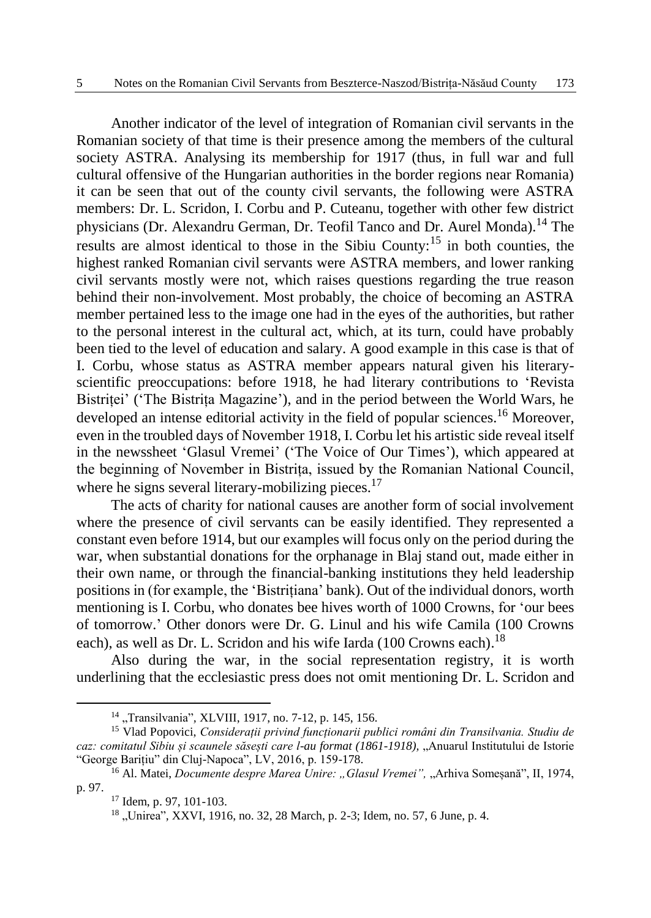Another indicator of the level of integration of Romanian civil servants in the Romanian society of that time is their presence among the members of the cultural society ASTRA. Analysing its membership for 1917 (thus, in full war and full cultural offensive of the Hungarian authorities in the border regions near Romania) it can be seen that out of the county civil servants, the following were ASTRA members: Dr. L. Scridon, I. Corbu and P. Cuteanu, together with other few district physicians (Dr. Alexandru German, Dr. Teofil Tanco and Dr. Aurel Monda).<sup>14</sup> The results are almost identical to those in the Sibiu County:<sup>15</sup> in both counties, the highest ranked Romanian civil servants were ASTRA members, and lower ranking civil servants mostly were not, which raises questions regarding the true reason behind their non-involvement. Most probably, the choice of becoming an ASTRA member pertained less to the image one had in the eyes of the authorities, but rather to the personal interest in the cultural act, which, at its turn, could have probably been tied to the level of education and salary. A good example in this case is that of I. Corbu, whose status as ASTRA member appears natural given his literaryscientific preoccupations: before 1918, he had literary contributions to 'Revista Bistriței' ('The Bistrița Magazine'), and in the period between the World Wars, he developed an intense editorial activity in the field of popular sciences.<sup>16</sup> Moreover, even in the troubled days of November 1918, I. Corbu let his artistic side reveal itself in the newssheet 'Glasul Vremei' ('The Voice of Our Times'), which appeared at the beginning of November in Bistrița, issued by the Romanian National Council, where he signs several literary-mobilizing pieces.<sup>17</sup>

The acts of charity for national causes are another form of social involvement where the presence of civil servants can be easily identified. They represented a constant even before 1914, but our examples will focus only on the period during the war, when substantial donations for the orphanage in Blaj stand out, made either in their own name, or through the financial-banking institutions they held leadership positions in (for example, the 'Bistrițiana' bank). Out of the individual donors, worth mentioning is I. Corbu, who donates bee hives worth of 1000 Crowns, for 'our bees of tomorrow.' Other donors were Dr. G. Linul and his wife Camila (100 Crowns each), as well as Dr. L. Scridon and his wife Iarda (100 Crowns each).<sup>18</sup>

Also during the war, in the social representation registry, it is worth underlining that the ecclesiastic press does not omit mentioning Dr. L. Scridon and

<sup>&</sup>lt;sup>14</sup> "Transilvania", XLVIII, 1917, no. 7-12, p. 145, 156.

<sup>15</sup> Vlad Popovici, *Considerații privind funcționarii publici români din Transilvania. Studiu de caz: comitatul Sibiu și scaunele săsești care l-au format (1861-1918),* "Anuarul Institutului de Istorie "George Barițiu" din Cluj-Napoca", LV, 2016, p. 159-178.

<sup>&</sup>lt;sup>16</sup> Al. Matei, *Documente despre Marea Unire:* "Glasul Vremei", "Arhiva Someșană", II, 1974, p. 97.

<sup>17</sup> Idem, p. 97, 101-103.

<sup>&</sup>lt;sup>18</sup> "Unirea", XXVI, 1916, no. 32, 28 March, p. 2-3; Idem, no. 57, 6 June, p. 4.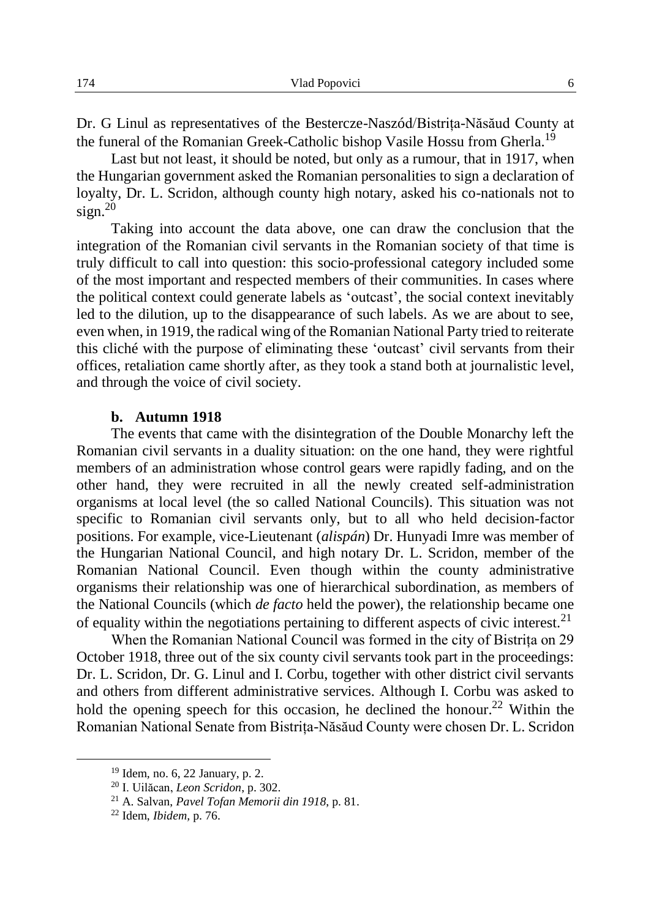Dr. G Linul as representatives of the Bestercze-Naszód/Bistrița-Năsăud County at the funeral of the Romanian Greek-Catholic bishop Vasile Hossu from Gherla.<sup>19</sup>

Last but not least, it should be noted, but only as a rumour, that in 1917, when the Hungarian government asked the Romanian personalities to sign a declaration of loyalty, Dr. L. Scridon, although county high notary, asked his co-nationals not to  $sign.<sup>20</sup>$ 

Taking into account the data above, one can draw the conclusion that the integration of the Romanian civil servants in the Romanian society of that time is truly difficult to call into question: this socio-professional category included some of the most important and respected members of their communities. In cases where the political context could generate labels as 'outcast', the social context inevitably led to the dilution, up to the disappearance of such labels. As we are about to see, even when, in 1919, the radical wing of the Romanian National Party tried to reiterate this cliché with the purpose of eliminating these 'outcast' civil servants from their offices, retaliation came shortly after, as they took a stand both at journalistic level, and through the voice of civil society.

#### **b. Autumn 1918**

The events that came with the disintegration of the Double Monarchy left the Romanian civil servants in a duality situation: on the one hand, they were rightful members of an administration whose control gears were rapidly fading, and on the other hand, they were recruited in all the newly created self-administration organisms at local level (the so called National Councils). This situation was not specific to Romanian civil servants only, but to all who held decision-factor positions. For example, vice-Lieutenant (*alispán*) Dr. Hunyadi Imre was member of the Hungarian National Council, and high notary Dr. L. Scridon, member of the Romanian National Council. Even though within the county administrative organisms their relationship was one of hierarchical subordination, as members of the National Councils (which *de facto* held the power), the relationship became one of equality within the negotiations pertaining to different aspects of civic interest. $2<sup>1</sup>$ 

When the Romanian National Council was formed in the city of Bistrița on 29 October 1918, three out of the six county civil servants took part in the proceedings: Dr. L. Scridon, Dr. G. Linul and I. Corbu, together with other district civil servants and others from different administrative services. Although I. Corbu was asked to hold the opening speech for this occasion, he declined the honour.<sup>22</sup> Within the Romanian National Senate from Bistrița-Năsăud County were chosen Dr. L. Scridon

<sup>19</sup> Idem*,* no. 6, 22 January, p. 2.

<sup>20</sup> I. Uilăcan, *Leon Scridon*, p. 302.

<sup>21</sup> A. Salvan, *Pavel Tofan Memorii din 1918*, p. 81.

<sup>22</sup> Idem, *Ibidem,* p. 76.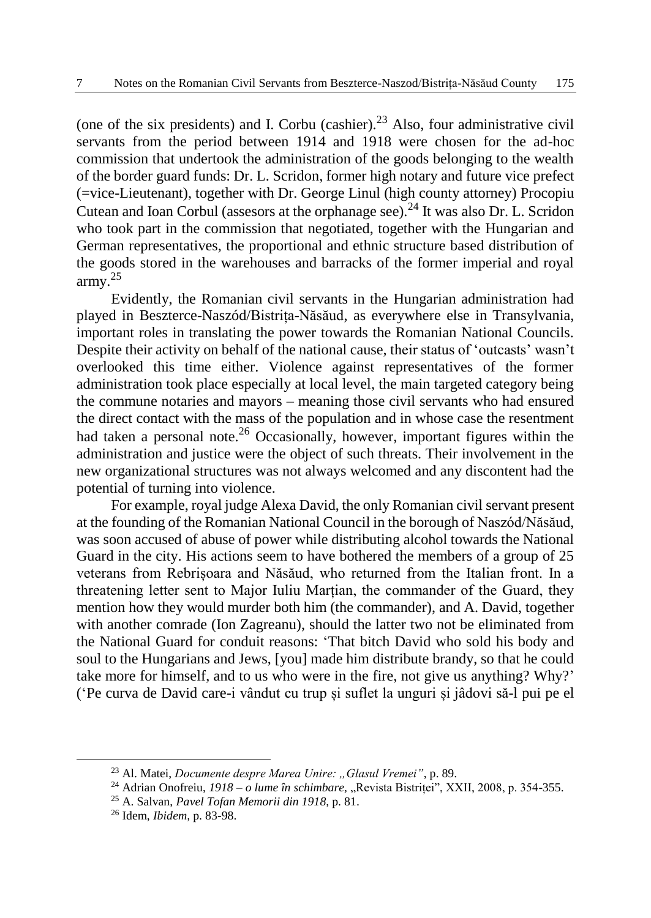(one of the six presidents) and I. Corbu (cashier).<sup>23</sup> Also, four administrative civil servants from the period between 1914 and 1918 were chosen for the ad-hoc commission that undertook the administration of the goods belonging to the wealth of the border guard funds: Dr. L. Scridon, former high notary and future vice prefect (=vice-Lieutenant), together with Dr. George Linul (high county attorney) Procopiu Cutean and Ioan Corbul (assesors at the orphanage see).<sup>24</sup> It was also Dr. L. Scridon who took part in the commission that negotiated, together with the Hungarian and German representatives, the proportional and ethnic structure based distribution of the goods stored in the warehouses and barracks of the former imperial and royal army.<sup>25</sup>

Evidently, the Romanian civil servants in the Hungarian administration had played in Beszterce-Naszód/Bistrița-Năsăud, as everywhere else in Transylvania, important roles in translating the power towards the Romanian National Councils. Despite their activity on behalf of the national cause, their status of 'outcasts' wasn't overlooked this time either. Violence against representatives of the former administration took place especially at local level, the main targeted category being the commune notaries and mayors – meaning those civil servants who had ensured the direct contact with the mass of the population and in whose case the resentment had taken a personal note.<sup>26</sup> Occasionally, however, important figures within the administration and justice were the object of such threats. Their involvement in the new organizational structures was not always welcomed and any discontent had the potential of turning into violence.

For example, royal judge Alexa David, the only Romanian civil servant present at the founding of the Romanian National Council in the borough of Naszód/Năsăud, was soon accused of abuse of power while distributing alcohol towards the National Guard in the city. His actions seem to have bothered the members of a group of 25 veterans from Rebrișoara and Năsăud, who returned from the Italian front. In a threatening letter sent to Major Iuliu Marțian, the commander of the Guard, they mention how they would murder both him (the commander), and A. David, together with another comrade (Ion Zagreanu), should the latter two not be eliminated from the National Guard for conduit reasons: 'That bitch David who sold his body and soul to the Hungarians and Jews, [you] made him distribute brandy, so that he could take more for himself, and to us who were in the fire, not give us anything? Why?' ('Pe curva de David care-i vândut cu trup și suflet la unguri și jâdovi să-l pui pe el

<sup>&</sup>lt;sup>23</sup> Al. Matei, *Documente despre Marea Unire: "Glasul Vremei"*, p. 89.

<sup>24</sup> Adrian Onofreiu, *1918 – o lume în schimbare,* "Revista Bistriței", XXII, 2008, p. 354-355.

<sup>25</sup> A. Salvan, *Pavel Tofan Memorii din 1918*, p. 81.

<sup>26</sup> Idem, *Ibidem,* p. 83-98.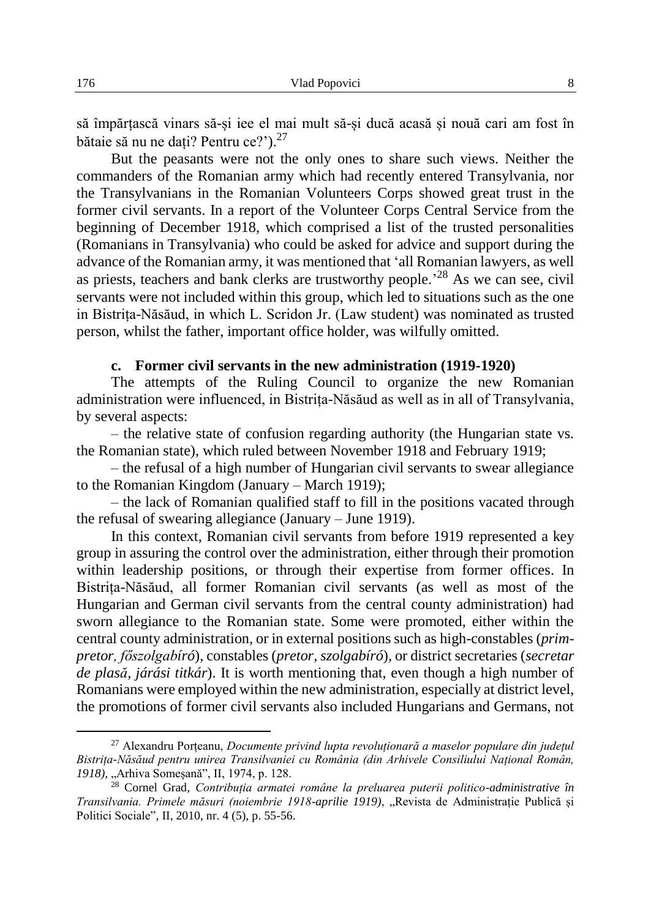să împărțască vinars să-și iee el mai mult să-și ducă acasă și nouă cari am fost în bătaie să nu ne dați? Pentru ce?').<sup>27</sup>

But the peasants were not the only ones to share such views. Neither the commanders of the Romanian army which had recently entered Transylvania, nor the Transylvanians in the Romanian Volunteers Corps showed great trust in the former civil servants. In a report of the Volunteer Corps Central Service from the beginning of December 1918, which comprised a list of the trusted personalities (Romanians in Transylvania) who could be asked for advice and support during the advance of the Romanian army, it was mentioned that 'all Romanian lawyers, as well as priests, teachers and bank clerks are trustworthy people.<sup>28</sup> As we can see, civil servants were not included within this group, which led to situations such as the one in Bistrița-Năsăud, in which L. Scridon Jr. (Law student) was nominated as trusted person, whilst the father, important office holder, was wilfully omitted.

#### **c. Former civil servants in the new administration (1919-1920)**

The attempts of the Ruling Council to organize the new Romanian administration were influenced, in Bistrița-Năsăud as well as in all of Transylvania, by several aspects:

– the relative state of confusion regarding authority (the Hungarian state vs. the Romanian state), which ruled between November 1918 and February 1919;

– the refusal of a high number of Hungarian civil servants to swear allegiance to the Romanian Kingdom (January – March 1919);

– the lack of Romanian qualified staff to fill in the positions vacated through the refusal of swearing allegiance (January – June 1919).

In this context, Romanian civil servants from before 1919 represented a key group in assuring the control over the administration, either through their promotion within leadership positions, or through their expertise from former offices. In Bistrița-Năsăud, all former Romanian civil servants (as well as most of the Hungarian and German civil servants from the central county administration) had sworn allegiance to the Romanian state. Some were promoted, either within the central county administration, or in external positions such as high-constables (*primpretor, főszolgabíró*), constables (*pretor, szolgabíró*), or district secretaries (*secretar de plasă, járási titkár*). It is worth mentioning that, even though a high number of Romanians were employed within the new administration, especially at district level, the promotions of former civil servants also included Hungarians and Germans, not

<sup>27</sup> Alexandru Porțeanu, *Documente privind lupta revoluționară a maselor populare din județul Bistrița-Năsăud pentru unirea Transilvaniei cu România (din Arhivele Consiliului Național Român, 1918),* "Arhiva Someșană", II, 1974, p. 128.

<sup>28</sup> Cornel Grad, *Contribuția armatei române la preluarea puterii politico-administrative în Transilvania. Primele măsuri (noiembrie 1918-aprilie 1919)*, "Revista de Administrație Publică și Politici Sociale"*,* II, 2010, nr. 4 (5), p. 55-56.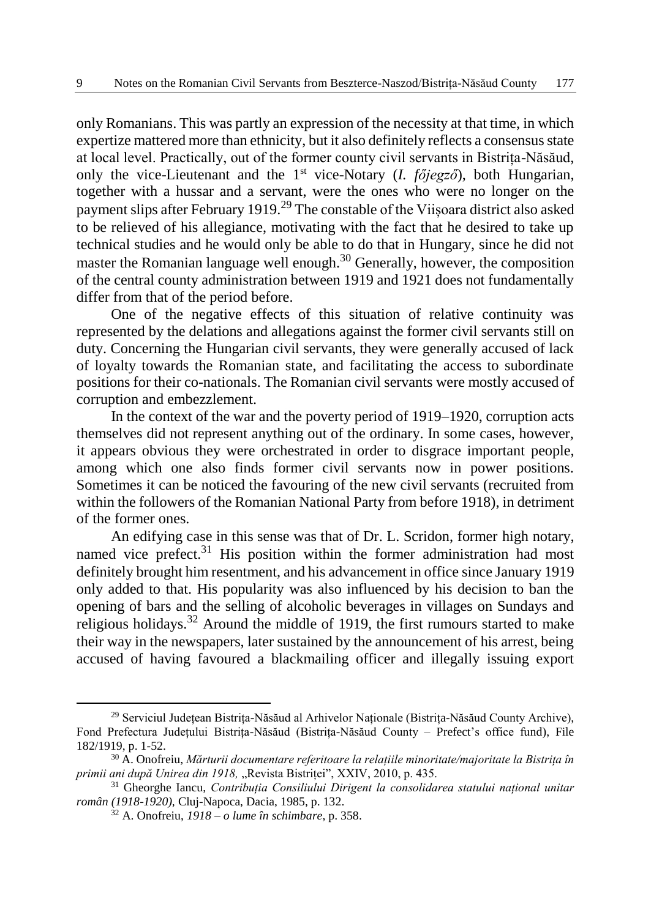only Romanians. This was partly an expression of the necessity at that time, in which expertize mattered more than ethnicity, but it also definitely reflects a consensus state at local level. Practically, out of the former county civil servants in Bistrița-Năsăud, only the vice-Lieutenant and the 1st vice-Notary (*I. főjegző*), both Hungarian, together with a hussar and a servant, were the ones who were no longer on the payment slips after February 1919.<sup>29</sup> The constable of the Viișoara district also asked to be relieved of his allegiance, motivating with the fact that he desired to take up technical studies and he would only be able to do that in Hungary, since he did not master the Romanian language well enough.<sup>30</sup> Generally, however, the composition of the central county administration between 1919 and 1921 does not fundamentally differ from that of the period before.

One of the negative effects of this situation of relative continuity was represented by the delations and allegations against the former civil servants still on duty. Concerning the Hungarian civil servants, they were generally accused of lack of loyalty towards the Romanian state, and facilitating the access to subordinate positions for their co-nationals. The Romanian civil servants were mostly accused of corruption and embezzlement.

In the context of the war and the poverty period of 1919–1920, corruption acts themselves did not represent anything out of the ordinary. In some cases, however, it appears obvious they were orchestrated in order to disgrace important people, among which one also finds former civil servants now in power positions. Sometimes it can be noticed the favouring of the new civil servants (recruited from within the followers of the Romanian National Party from before 1918), in detriment of the former ones.

An edifying case in this sense was that of Dr. L. Scridon, former high notary, named vice prefect. $31$  His position within the former administration had most definitely brought him resentment, and his advancement in office since January 1919 only added to that. His popularity was also influenced by his decision to ban the opening of bars and the selling of alcoholic beverages in villages on Sundays and religious holidays.<sup>32</sup> Around the middle of 1919, the first rumours started to make their way in the newspapers, later sustained by the announcement of his arrest, being accused of having favoured a blackmailing officer and illegally issuing export

<sup>29</sup> Serviciul Județean Bistrița-Năsăud al Arhivelor Naționale (Bistrița-Năsăud County Archive), Fond Prefectura Județului Bistrița-Năsăud (Bistrița-Năsăud County – Prefect's office fund), File 182/1919, p. 1-52.

<sup>30</sup> A. Onofreiu, *Mărturii documentare referitoare la relațiile minoritate/majoritate la Bistrița în primii ani după Unirea din 1918,* "Revista Bistriței", XXIV, 2010, p. 435.

<sup>31</sup> Gheorghe Iancu, *Contribuția Consiliului Dirigent la consolidarea statului național unitar român (1918-1920),* Cluj-Napoca, Dacia, 1985, p. 132.

<sup>32</sup> A. Onofreiu, *1918 – o lume în schimbare*, p. 358.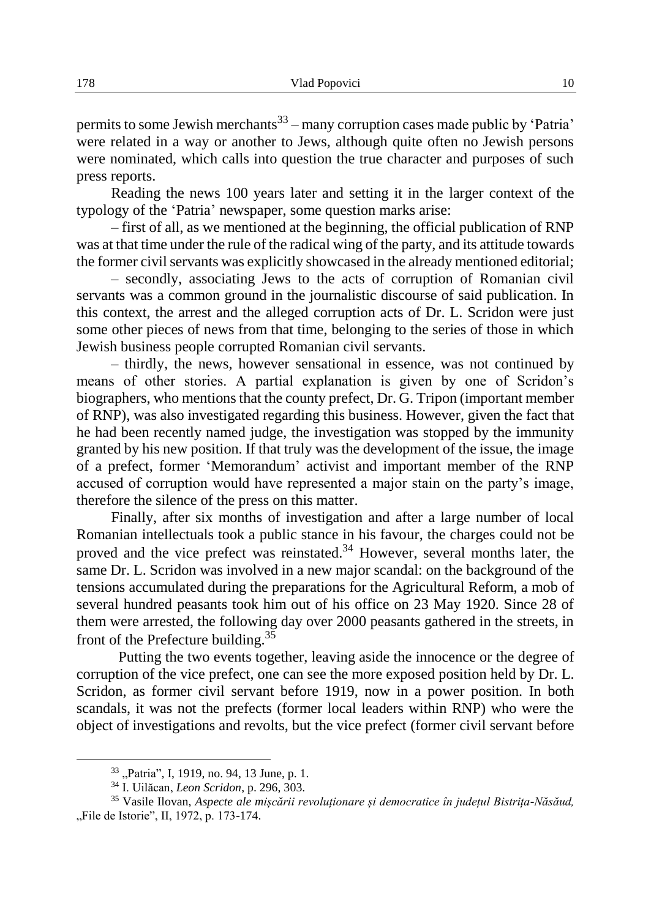permits to some Jewish merchants<sup>33</sup> – many corruption cases made public by 'Patria' were related in a way or another to Jews, although quite often no Jewish persons were nominated, which calls into question the true character and purposes of such press reports.

Reading the news 100 years later and setting it in the larger context of the typology of the 'Patria' newspaper, some question marks arise:

– first of all, as we mentioned at the beginning, the official publication of RNP was at that time under the rule of the radical wing of the party, and its attitude towards the former civil servants was explicitly showcased in the already mentioned editorial;

– secondly, associating Jews to the acts of corruption of Romanian civil servants was a common ground in the journalistic discourse of said publication. In this context, the arrest and the alleged corruption acts of Dr. L. Scridon were just some other pieces of news from that time, belonging to the series of those in which Jewish business people corrupted Romanian civil servants.

– thirdly, the news, however sensational in essence, was not continued by means of other stories. A partial explanation is given by one of Scridon's biographers, who mentions that the county prefect, Dr. G. Tripon (important member of RNP), was also investigated regarding this business. However, given the fact that he had been recently named judge, the investigation was stopped by the immunity granted by his new position. If that truly was the development of the issue, the image of a prefect, former 'Memorandum' activist and important member of the RNP accused of corruption would have represented a major stain on the party's image, therefore the silence of the press on this matter.

Finally, after six months of investigation and after a large number of local Romanian intellectuals took a public stance in his favour, the charges could not be proved and the vice prefect was reinstated.<sup>34</sup> However, several months later, the same Dr. L. Scridon was involved in a new major scandal: on the background of the tensions accumulated during the preparations for the Agricultural Reform, a mob of several hundred peasants took him out of his office on 23 May 1920. Since 28 of them were arrested, the following day over 2000 peasants gathered in the streets, in front of the Prefecture building.<sup>35</sup>

 Putting the two events together, leaving aside the innocence or the degree of corruption of the vice prefect, one can see the more exposed position held by Dr. L. Scridon, as former civil servant before 1919, now in a power position. In both scandals, it was not the prefects (former local leaders within RNP) who were the object of investigations and revolts, but the vice prefect (former civil servant before

<sup>33</sup> "Patria"*,* I, 1919, no. 94, 13 June, p. 1.

<sup>34</sup> I. Uilăcan, *Leon Scridon*, p. 296, 303.

<sup>35</sup> Vasile Ilovan, *Aspecte ale mișcării revoluționare și democratice în județul Bistrița-Năsăud,*  "File de Istorie", II, 1972, p. 173-174.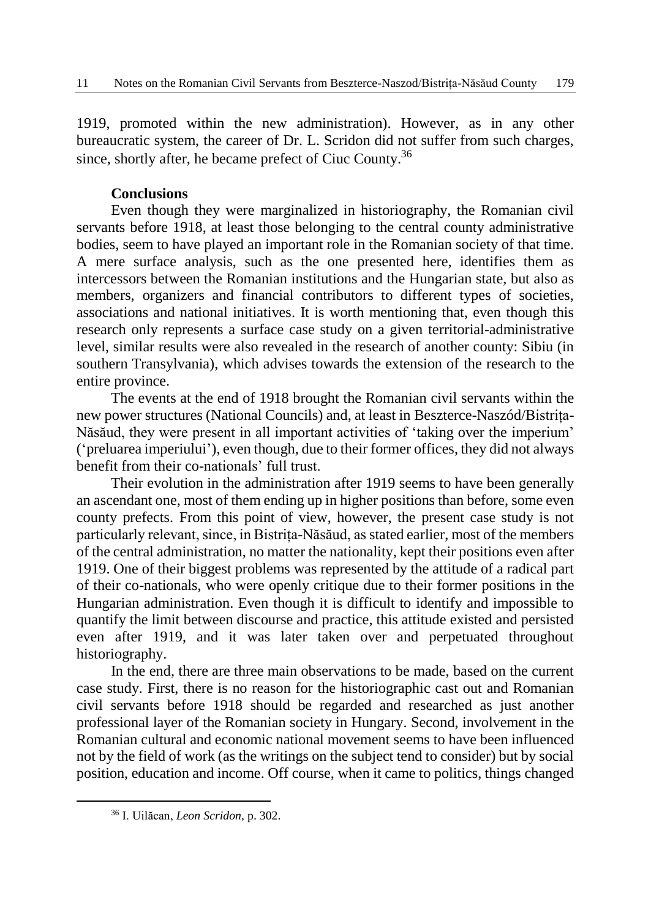1919, promoted within the new administration). However, as in any other bureaucratic system, the career of Dr. L. Scridon did not suffer from such charges, since, shortly after, he became prefect of Ciuc County.<sup>36</sup>

#### **Conclusions**

Even though they were marginalized in historiography, the Romanian civil servants before 1918, at least those belonging to the central county administrative bodies, seem to have played an important role in the Romanian society of that time. A mere surface analysis, such as the one presented here, identifies them as intercessors between the Romanian institutions and the Hungarian state, but also as members, organizers and financial contributors to different types of societies, associations and national initiatives. It is worth mentioning that, even though this research only represents a surface case study on a given territorial-administrative level, similar results were also revealed in the research of another county: Sibiu (in southern Transylvania), which advises towards the extension of the research to the entire province.

The events at the end of 1918 brought the Romanian civil servants within the new power structures (National Councils) and, at least in Beszterce-Naszód/Bistrița-Năsăud, they were present in all important activities of 'taking over the imperium' ('preluarea imperiului'), even though, due to their former offices, they did not always benefit from their co-nationals' full trust.

Their evolution in the administration after 1919 seems to have been generally an ascendant one, most of them ending up in higher positions than before, some even county prefects. From this point of view, however, the present case study is not particularly relevant, since, in Bistrița-Năsăud, as stated earlier, most of the members of the central administration, no matter the nationality, kept their positions even after 1919. One of their biggest problems was represented by the attitude of a radical part of their co-nationals, who were openly critique due to their former positions in the Hungarian administration. Even though it is difficult to identify and impossible to quantify the limit between discourse and practice, this attitude existed and persisted even after 1919, and it was later taken over and perpetuated throughout historiography.

In the end, there are three main observations to be made, based on the current case study. First, there is no reason for the historiographic cast out and Romanian civil servants before 1918 should be regarded and researched as just another professional layer of the Romanian society in Hungary. Second, involvement in the Romanian cultural and economic national movement seems to have been influenced not by the field of work (as the writings on the subject tend to consider) but by social position, education and income. Off course, when it came to politics, things changed

<sup>36</sup> I. Uilăcan, *Leon Scridon,* p. 302.